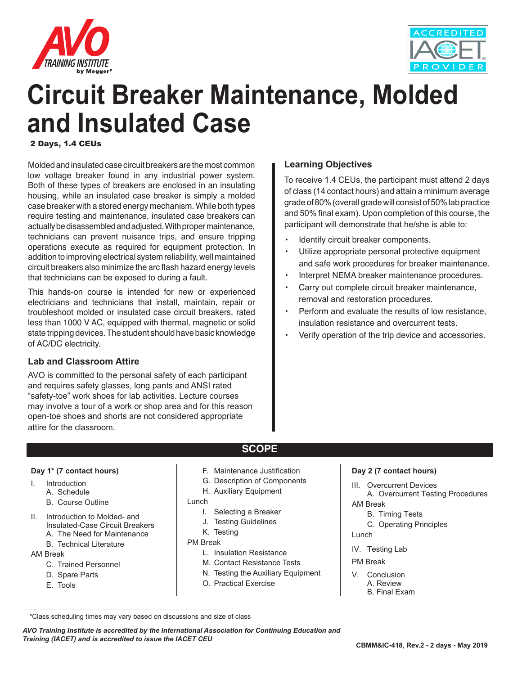



# **Circuit Breaker Maintenance, Molded and Insulated Case**

2 Days, 1.4 CEUs

Molded and insulated case circuit breakers are the most common low voltage breaker found in any industrial power system. Both of these types of breakers are enclosed in an insulating housing, while an insulated case breaker is simply a molded case breaker with a stored energy mechanism. While both types require testing and maintenance, insulated case breakers can actually be disassembled and adjusted. With proper maintenance, technicians can prevent nuisance trips, and ensure tripping operations execute as required for equipment protection. In addition to improving electrical system reliability, well maintained circuit breakers also minimize the arc flash hazard energy levels that technicians can be exposed to during a fault.

This hands-on course is intended for new or experienced electricians and technicians that install, maintain, repair or troubleshoot molded or insulated case circuit breakers, rated less than 1000 V AC, equipped with thermal, magnetic or solid state tripping devices. The student should have basic knowledge of AC/DC electricity.

#### **Lab and Classroom Attire**

AVO is committed to the personal safety of each participant and requires safety glasses, long pants and ANSI rated "safety-toe" work shoes for lab activities. Lecture courses may involve a tour of a work or shop area and for this reason open-toe shoes and shorts are not considered appropriate attire for the classroom.

#### **Learning Objectives**

To receive 1.4 CEUs, the participant must attend 2 days of class (14 contact hours) and attain a minimum average grade of 80% (overall grade will consist of 50% lab practice and 50% final exam). Upon completion of this course, the participant will demonstrate that he/she is able to:

- Identify circuit breaker components.
- Utilize appropriate personal protective equipment and safe work procedures for breaker maintenance.
- Interpret NEMA breaker maintenance procedures.
- Carry out complete circuit breaker maintenance, removal and restoration procedures.
- Perform and evaluate the results of low resistance, insulation resistance and overcurrent tests.
- Verify operation of the trip device and accessories.

#### **Day 1\* (7 contact hours)**

- I. Introduction
	- A. Schedule
	- B. Course Outline
- II. Introduction to Molded- and Insulated-Case Circuit Breakers A. The Need for Maintenance
	-
	- B. Technical Literature

#### AM Break

- C. Trained Personnel
- D. Spare Parts
- E. Tools

F. Maintenance Justification

**SCOPE**

- G. Description of Components
- H. Auxiliary Equipment

Lunch

- I. Selecting a Breaker
- J. Testing Guidelines
- K. Testing
- PM Break
	- L. Insulation Resistance
	- M. Contact Resistance Tests
	- N. Testing the Auxiliary Equipment
	- O. Practical Exercise

#### **Day 2 (7 contact hours)**

III. Overcurrent Devices

A. Overcurrent Testing Procedures AM Break

- B. Timing Tests
- C. Operating Principles
- Lunch
- IV. Testing Lab
- PM Break
- V. Conclusion A. Review B. Final Exam

*AVO Training Institute is accredited by the International Association for Continuing Education and Training (IACET) and is accredited to issue the IACET CEU*

 <sup>\*</sup>Class scheduling times may vary based on discussions and size of class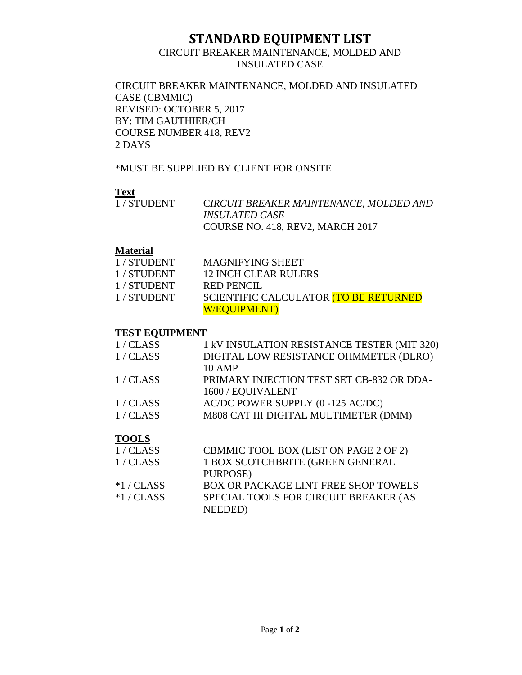## **STANDARD EQUIPMENT LIST**<br>CIRCUIT BREAKER MAINTENANCE, MOLDED AND

## INSULATED CASE

CIRCUIT BREAKER MAINTENANCE, MOLDED AND INSULATED CASE (CBMMIC) REVISED: OCTOBER 5, 2017 BY: TIM GAUTHIER/CH COURSE NUMBER 418, REV2 2 DAYS

\*MUST BE SUPPLIED BY CLIENT FOR ONSITE

## **Text**

| 1 / STUDENT | CIRCUIT BREAKER MAINTENANCE, MOLDED AND |
|-------------|-----------------------------------------|
|             | <i><b>INSULATED CASE</b></i>            |
|             | COURSE NO. 418, REV2, MARCH 2017        |

### **Material**

| 1/STUDENT | <b>MAGNIFYING SHEET</b>               |
|-----------|---------------------------------------|
| 1/STUDENT | 12 INCH CLEAR RULERS                  |
| 1/STUDENT | <b>RED PENCIL</b>                     |
| 1/STUDENT | SCIENTIFIC CALCULATOR (TO BE RETURNED |
|           | <b>W/EQUIPMENT)</b>                   |

### **TEST EQUIPMENT**

| 1/CLASS | 1 kV INSULATION RESISTANCE TESTER (MIT 320) |
|---------|---------------------------------------------|
| 1/CLASS | DIGITAL LOW RESISTANCE OHMMETER (DLRO)      |
|         | <b>10 AMP</b>                               |
| 1/CLASS | PRIMARY INJECTION TEST SET CB-832 OR DDA-   |
|         | 1600 / EQUIVALENT                           |
| 1/CLASS | AC/DC POWER SUPPLY (0-125 AC/DC)            |
| 1/CLASS | M808 CAT III DIGITAL MULTIMETER (DMM)       |
|         |                                             |
| TAAI S  |                                             |

## **TOOLS**

| 1/CLASS      | CBMMIC TOOL BOX (LIST ON PAGE 2 OF 2)       |
|--------------|---------------------------------------------|
| 1/CLASS      | 1 BOX SCOTCHBRITE (GREEN GENERAL            |
|              | PURPOSE)                                    |
| $*1$ / CLASS | <b>BOX OR PACKAGE LINT FREE SHOP TOWELS</b> |
| $*1$ / CLASS | SPECIAL TOOLS FOR CIRCUIT BREAKER (AS       |
|              | NEEDED)                                     |